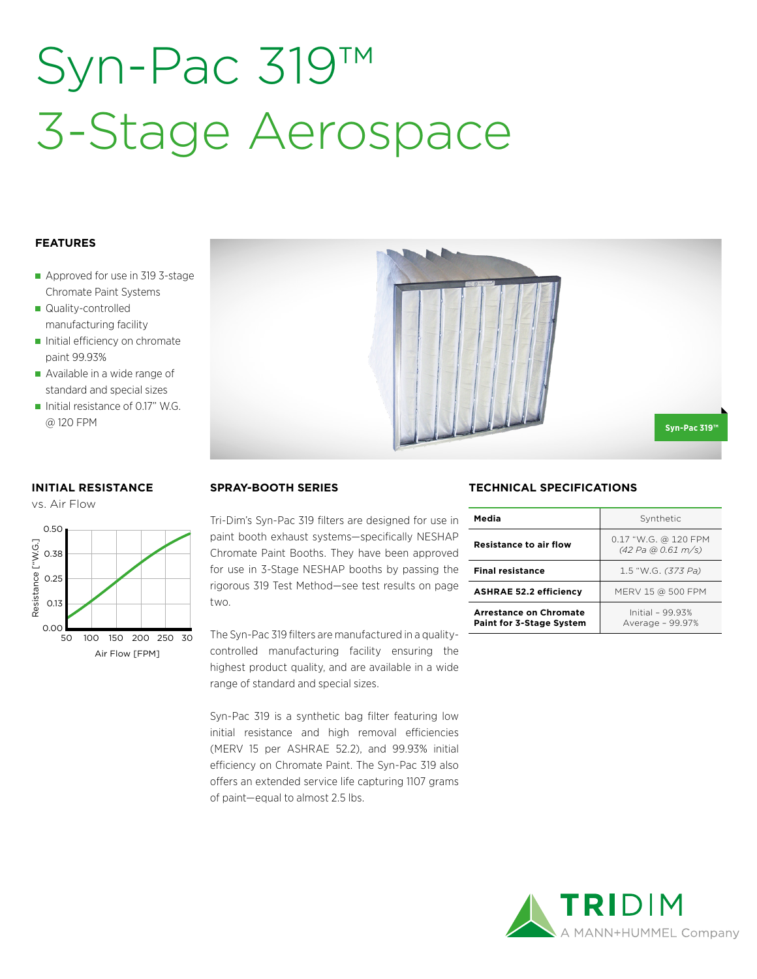## Syn-Pac 319™ 3-Stage Aerospace

### **FEATURES**

- Approved for use in 319 3-stage Chromate Paint Systems
- Quality-controlled manufacturing facility
- Initial efficiency on chromate paint 99.93%
- Available in a wide range of standard and special sizes
- Initial resistance of 0.17" W.G. @ 120 FPM

### **INITIAL RESISTANCE**

vs. Air Flow



### **SPRAY-BOOTH SERIES**

Tri-Dim's Syn-Pac 319 filters are designed for use in paint booth exhaust systems—specifically NESHAP Chromate Paint Booths. They have been approved for use in 3-Stage NESHAP booths by passing the rigorous 319 Test Method—see test results on page two.

The Syn-Pac 319 filters are manufactured in a qualitycontrolled manufacturing facility ensuring the highest product quality, and are available in a wide range of standard and special sizes.

Syn-Pac 319 is a synthetic bag filter featuring low initial resistance and high removal efficiencies (MERV 15 per ASHRAE 52.2), and 99.93% initial efficiency on Chromate Paint. The Syn-Pac 319 also offers an extended service life capturing 1107 grams of paint—equal to almost 2.5 lbs.

### **TECHNICAL SPECIFICATIONS**

| Media                                                            | Synthetic                                  |  |  |
|------------------------------------------------------------------|--------------------------------------------|--|--|
| <b>Resistance to air flow</b>                                    | 0.17 "W.G. @ 120 FPM<br>(42 Pa @ 0.61 m/s) |  |  |
| <b>Final resistance</b>                                          | 1.5 "W.G. (373 Pa)                         |  |  |
| <b>ASHRAE 52.2 efficiency</b>                                    | MERV 15 @ 500 FPM                          |  |  |
| <b>Arrestance on Chromate</b><br><b>Paint for 3-Stage System</b> | Initial - 99.93%<br>Average - 99.97%       |  |  |